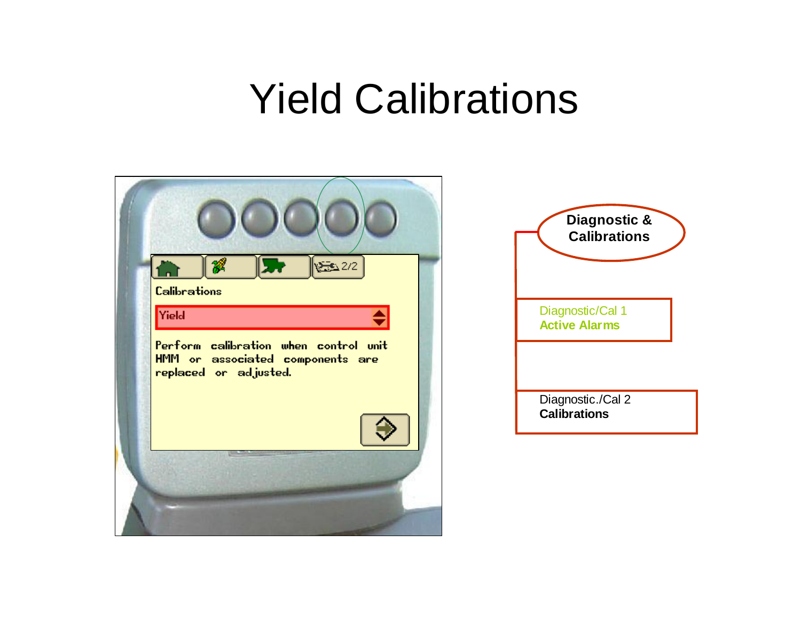### Yield Calibrations

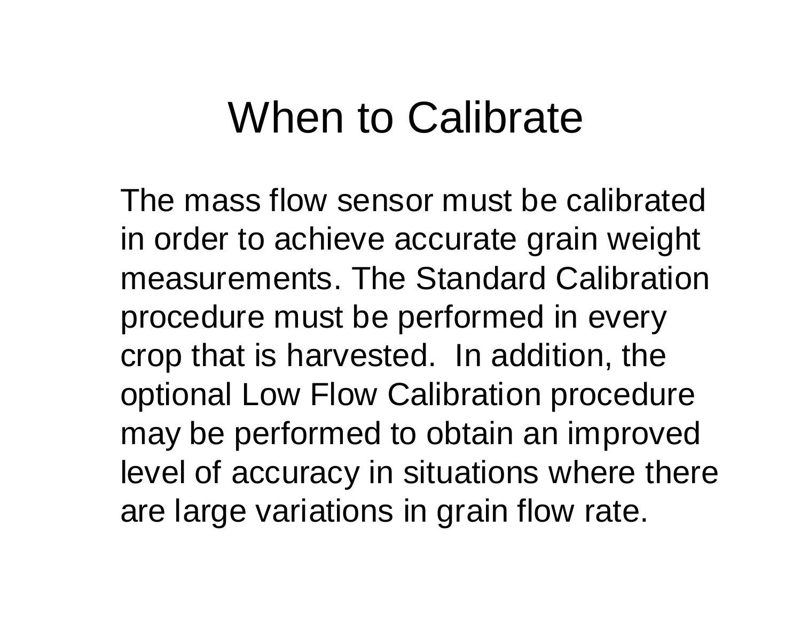### When to Calibrate

The mass flow sensor must be calibrated in order to achieve accurate grain weight measurements. The Standard Calibration procedure must be performed in every crop that is harvested. In addition, the optional Low Flow Calibration procedure may be performed to obtain an improved level of accuracy in situations where there are large variations in grain flow rate.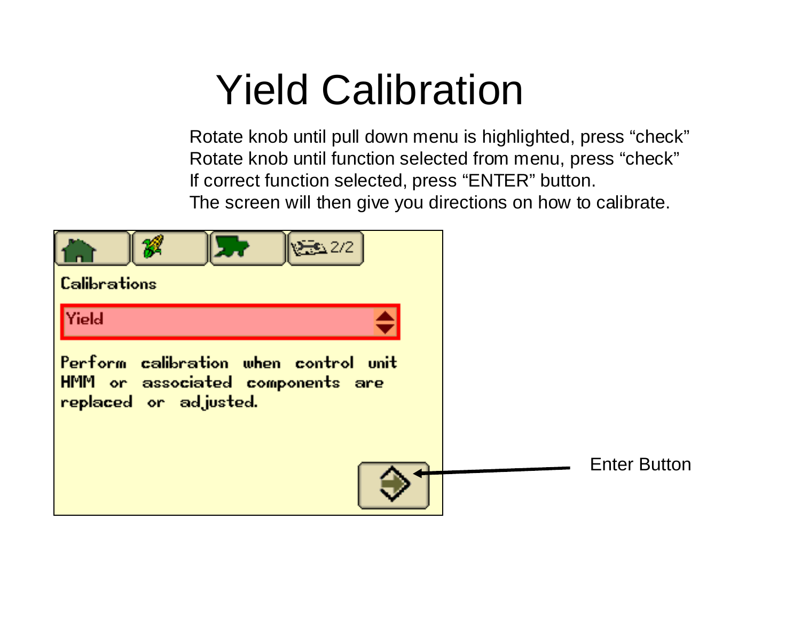## Yield Calibration

Rotate knob until pull down menu is highlighted, press "check" Rotate knob until function selected from menu, press "check" If correct function selected, press "ENTER" button. The screen will then give you directions on how to calibrate.

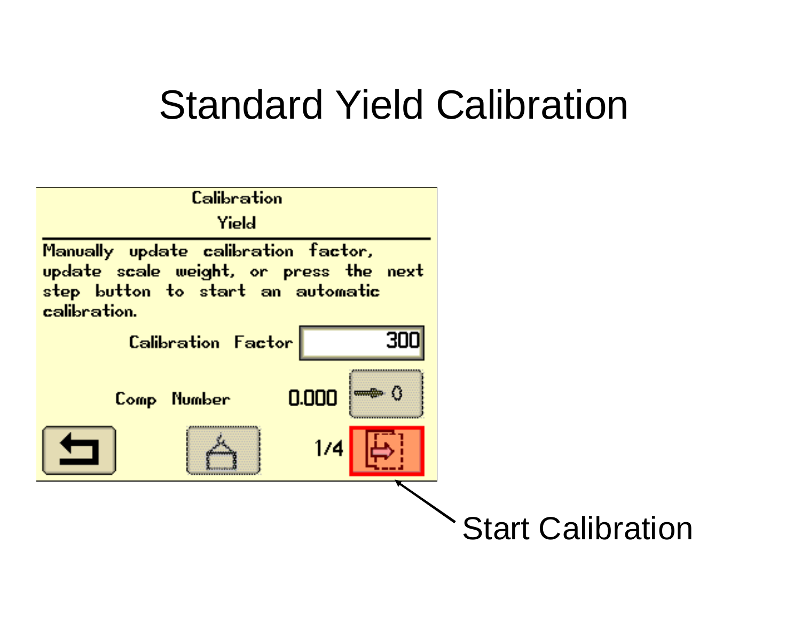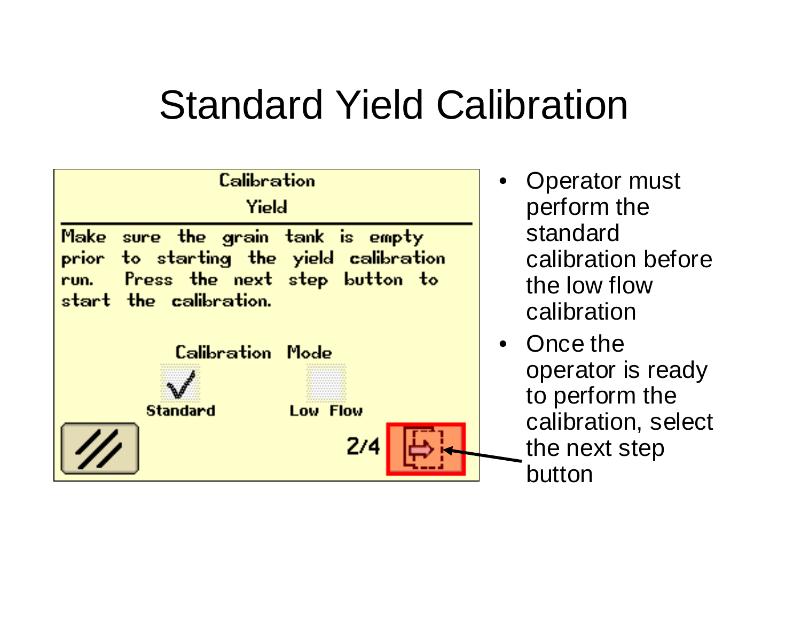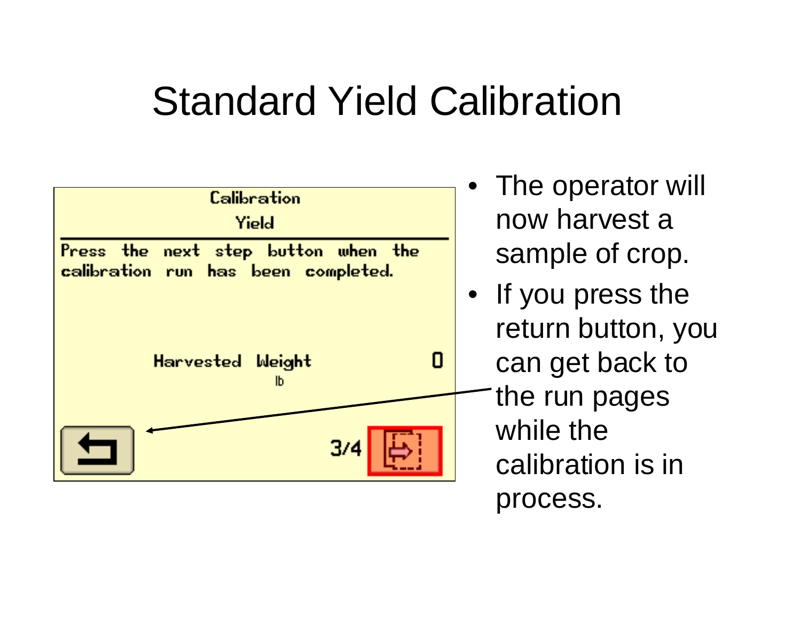

- The operator will now harvest a sample of crop.
- If you press the return button, you can get back to the run pages while the calibration is in process.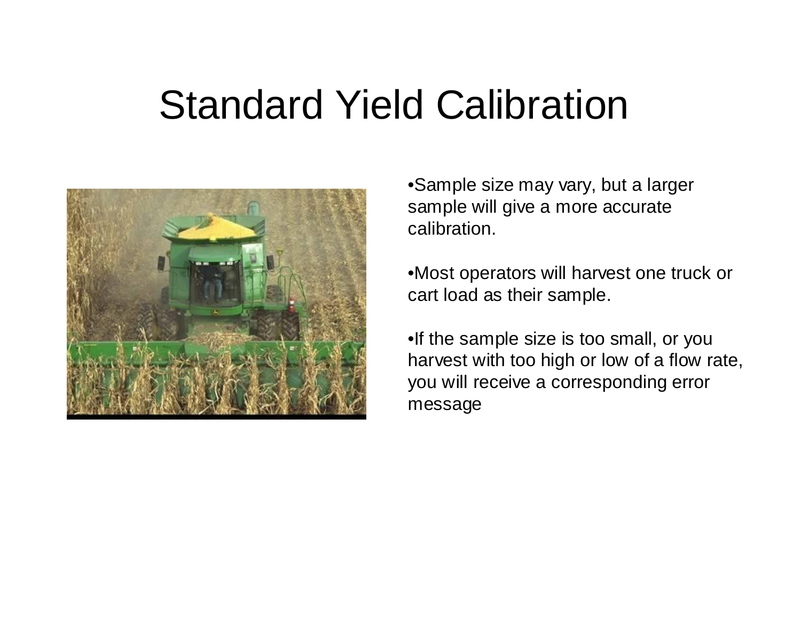

•Sample size may vary, but a larger sample will give a more accurate calibration.

•Most operators will harvest one truck or cart load as their sample.

•If the sample size is too small, or you harvest with too high or low of a flow rate, you will receive a corresponding error message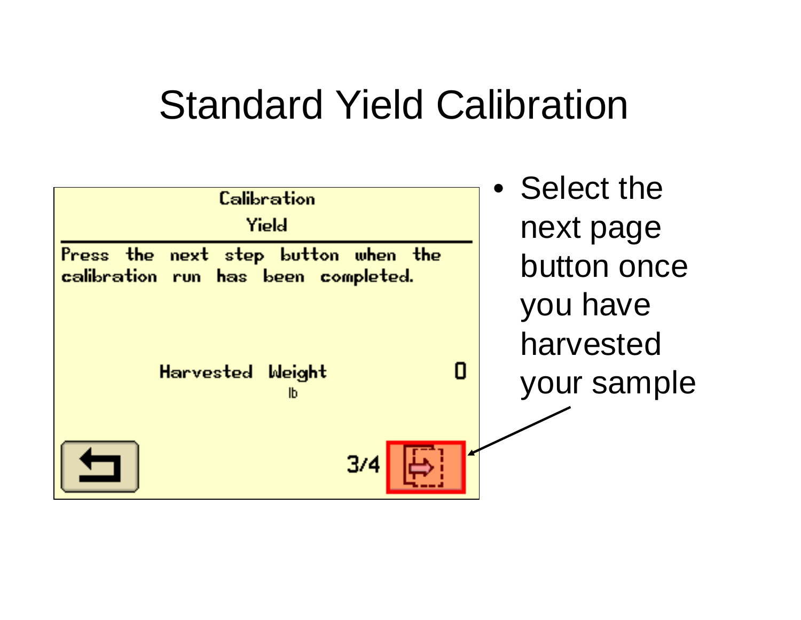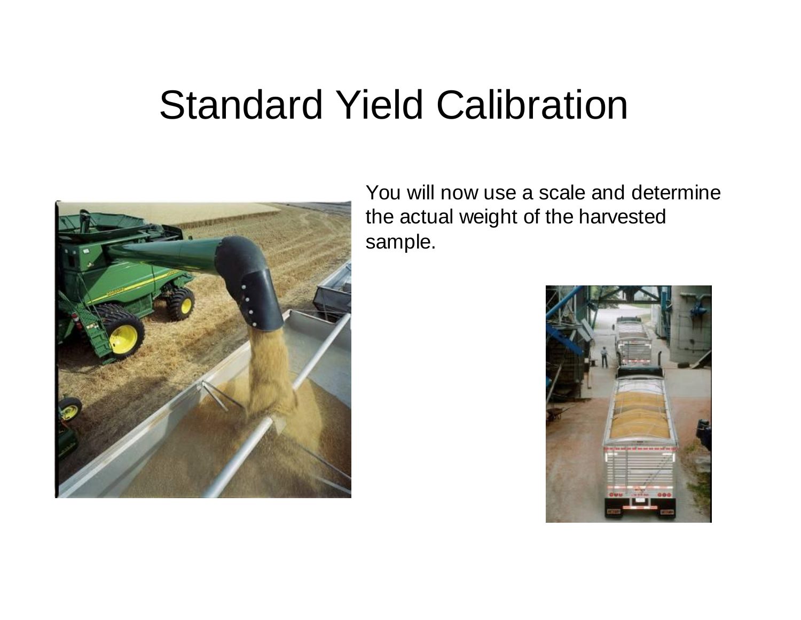

You will now use a scale and determine the actual weight of the harvested sample.

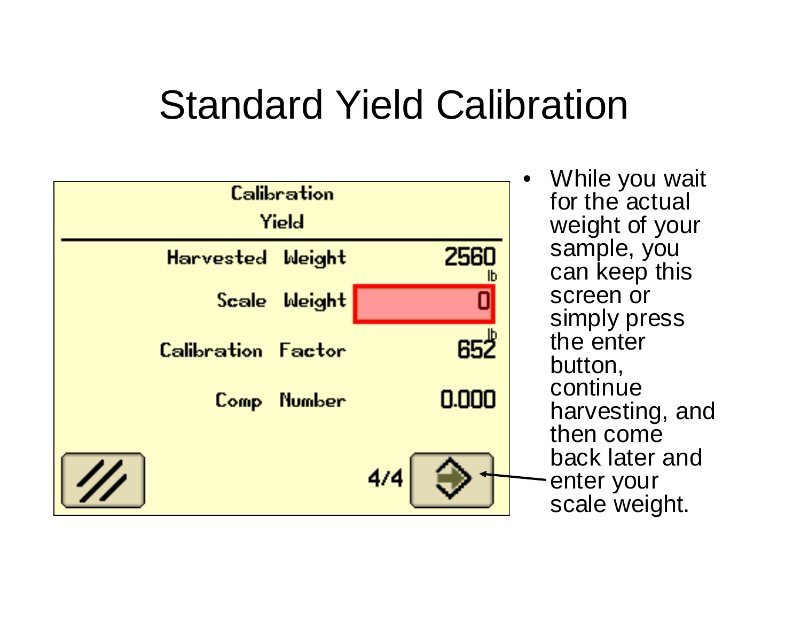| Calibration<br>Yield      |  |               |                 |
|---------------------------|--|---------------|-----------------|
| <b>Harvested</b>          |  | <b>Weight</b> | 2560<br>Ib      |
|                           |  | Scale Weight  |                 |
| <b>Calibration Factor</b> |  |               | 65 <sup>2</sup> |
|                           |  | Comp Number   | 0.000           |
| $\mathscr{U}$             |  |               | 4/4             |
|                           |  |               |                 |

• While you wait for the actual weight of your sample, you can keep this screen or simply press the enter button, continue harvesting, and then come back later and - enter your scale weight.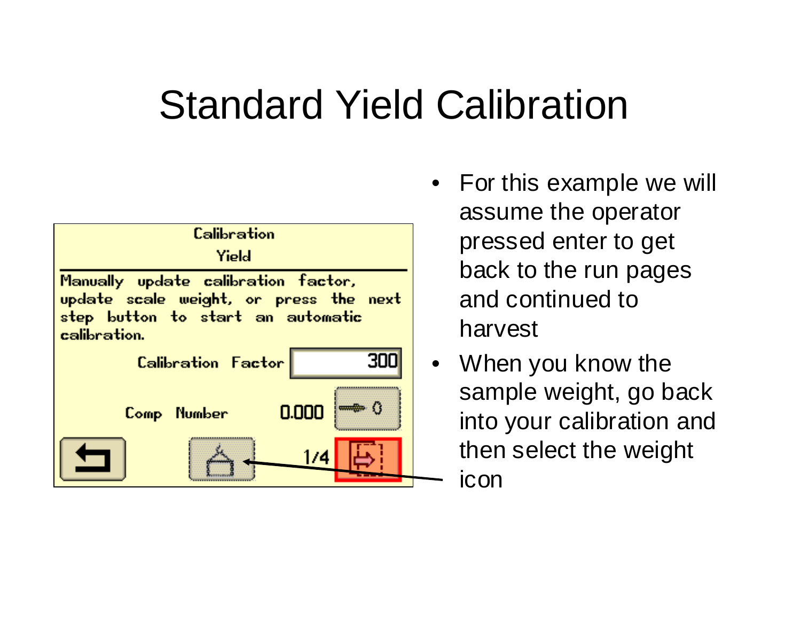

- For this example we will assume the operator pressed enter to get back to the run pages and continued to harvest
- When you know the sample weight, go back into your calibration and then select the weight icon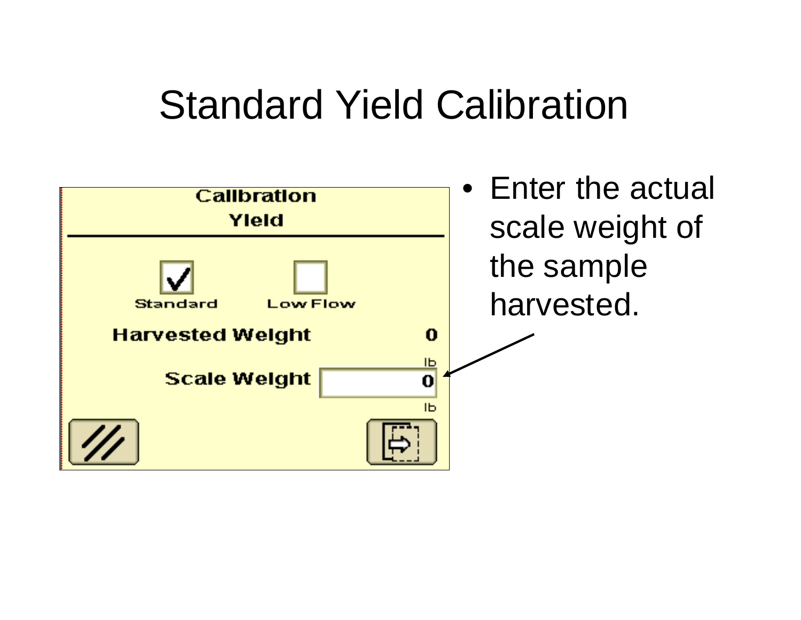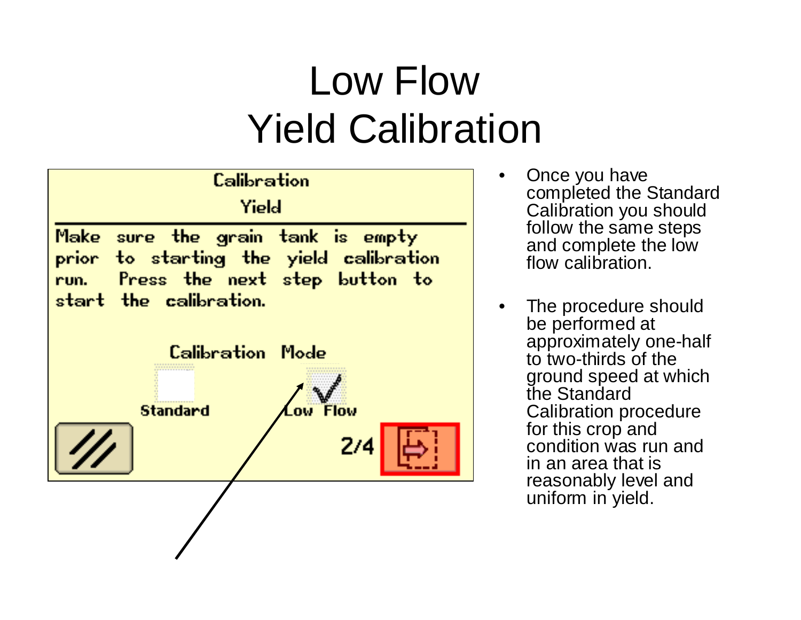## Low Flow Yield Calibration



- Once you have completed the Standard Calibration you should follow the same steps and complete the low flow calibration.
- The procedure should be performed at approximately one-half to two-thirds of the ground speed at which the Standard Calibration procedure for this crop and condition was run and in an area that is reasonably level and uniform in yield.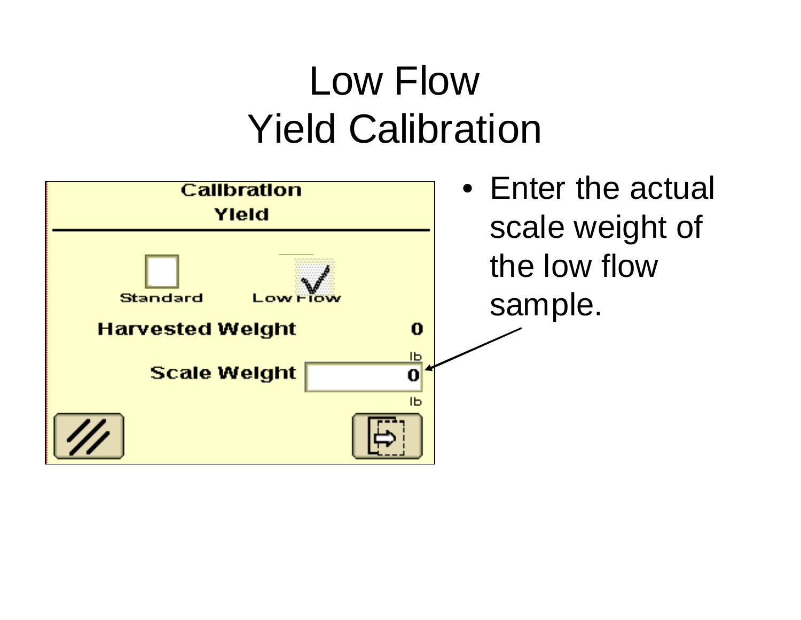## Low Flow Yield Calibration

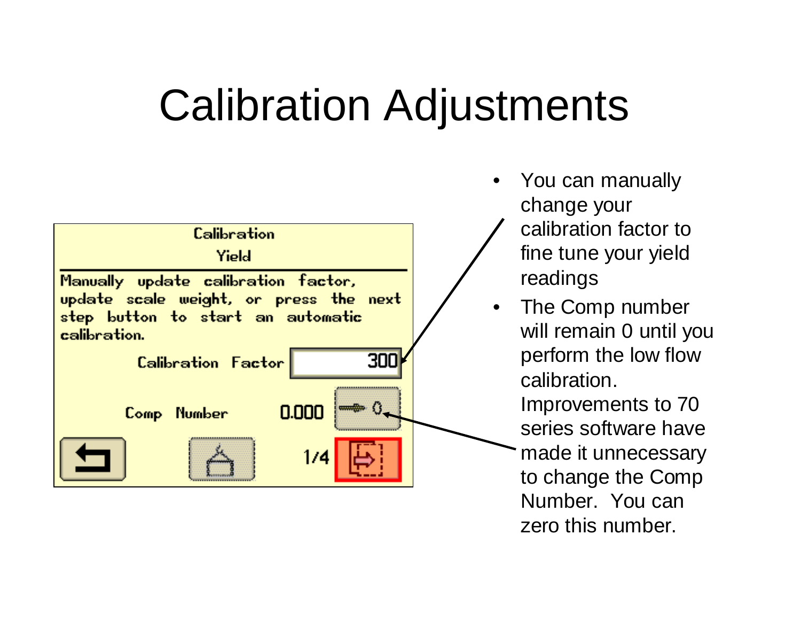# Calibration Adjustments



- You can manually change your
	- calibration factor to fine tune your yield readings
- The Comp number will remain 0 until you perform the low flow calibration.
	- Improvements to 70 series software have made it unnecessary to change the Comp Number. You can zero this number.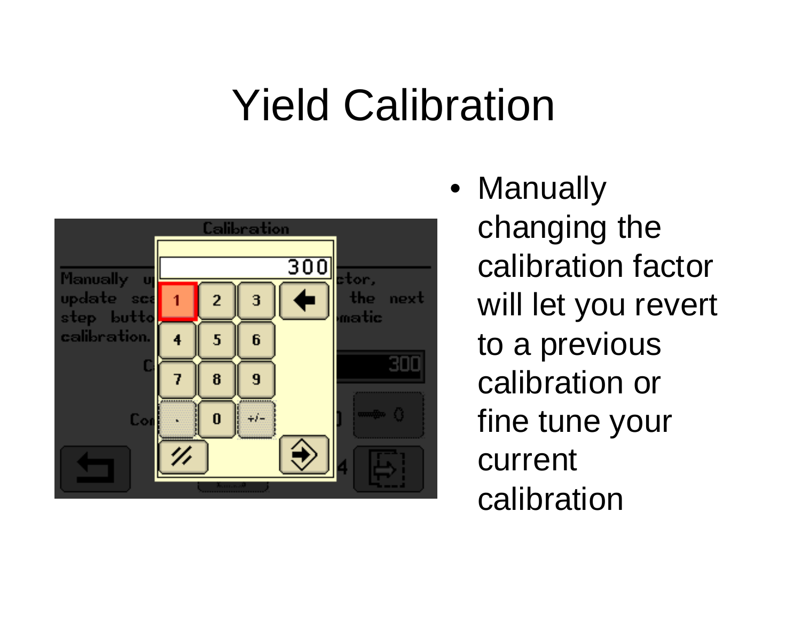# Yield Calibration



• Manually changing the calibration factor will let you revert to a previous calibration or fine tune your current calibration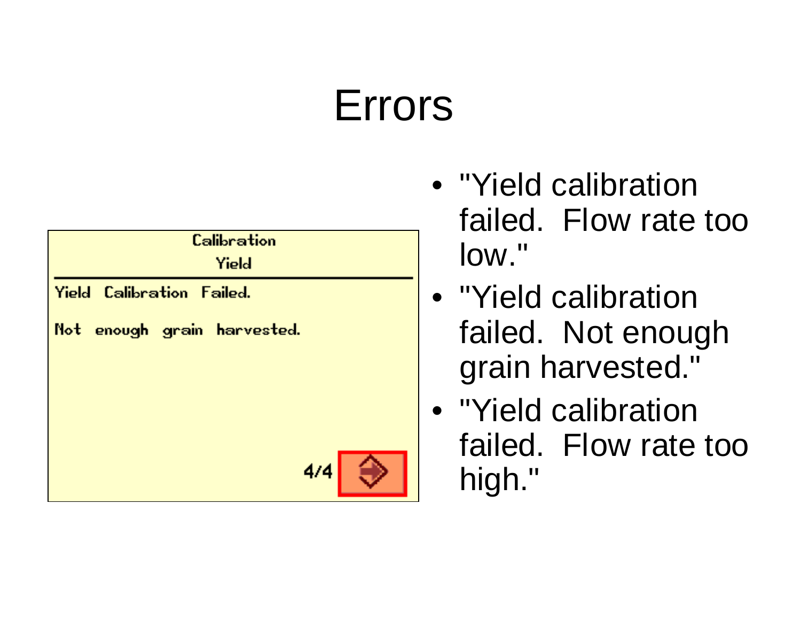# Errors



- "Yield calibration failed. Flow rate too low."
- "Yield calibration failed. Not enough grain harvested."
- "Yield calibration failed. Flow rate too high."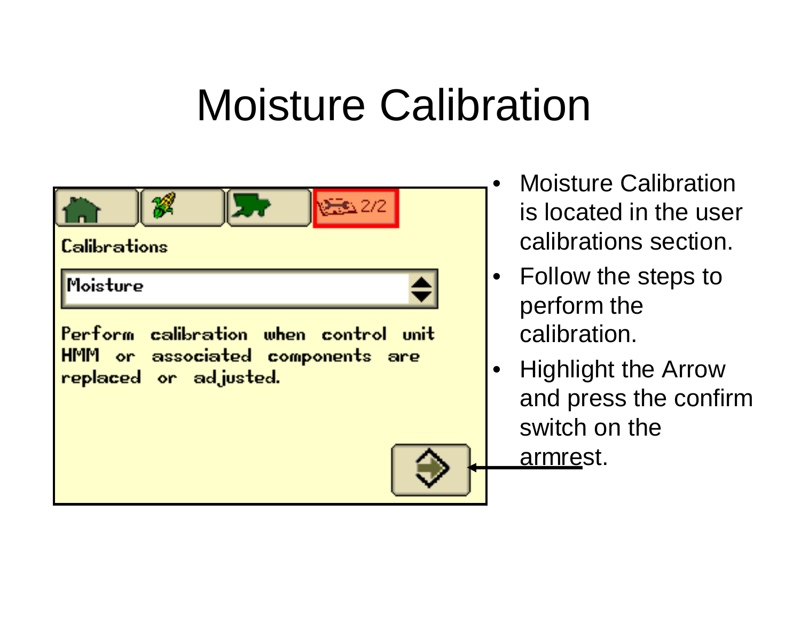

- Moisture Calibration is located in the user calibrations section.
- Follow the steps to perform the calibration.
- Highlight the Arrow and press the confirm switch on the armrest.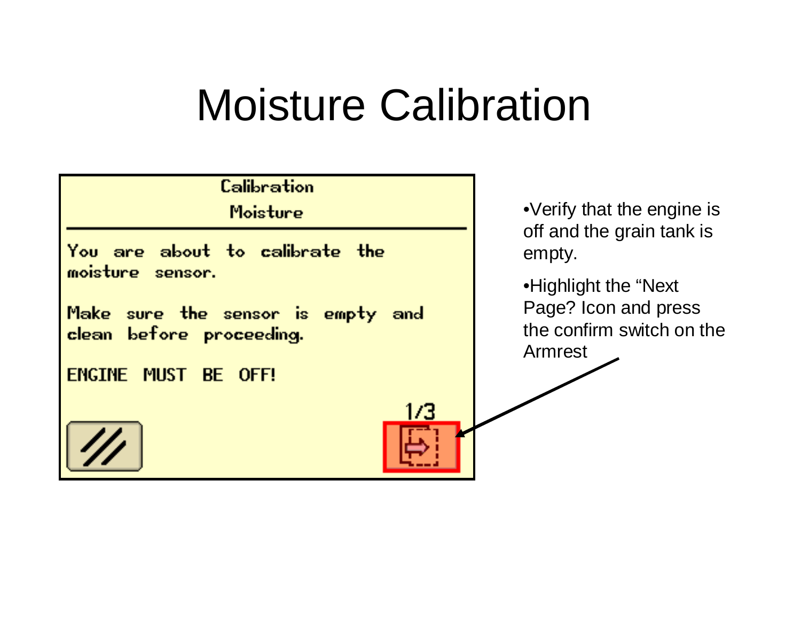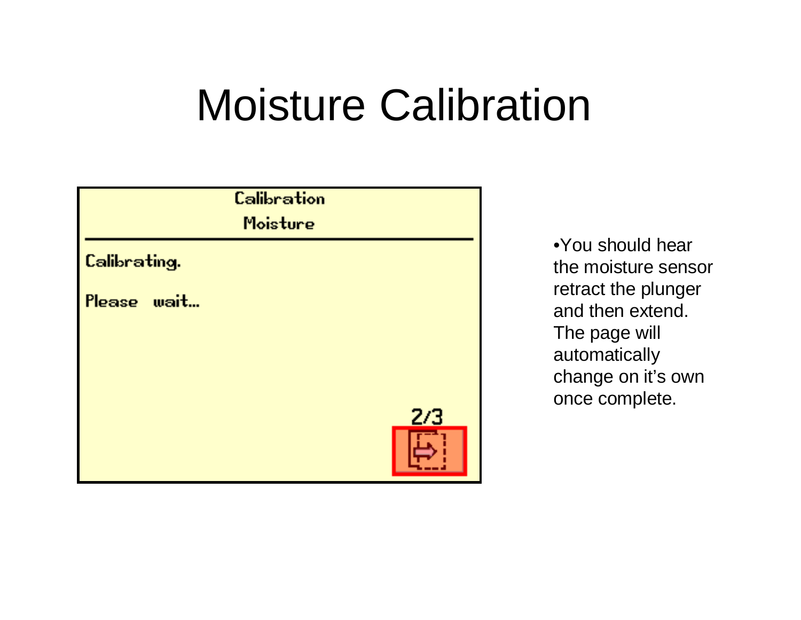

•You should hear the moisture sensor retract the plunger and then extend. The page will automatically change on it's own once complete.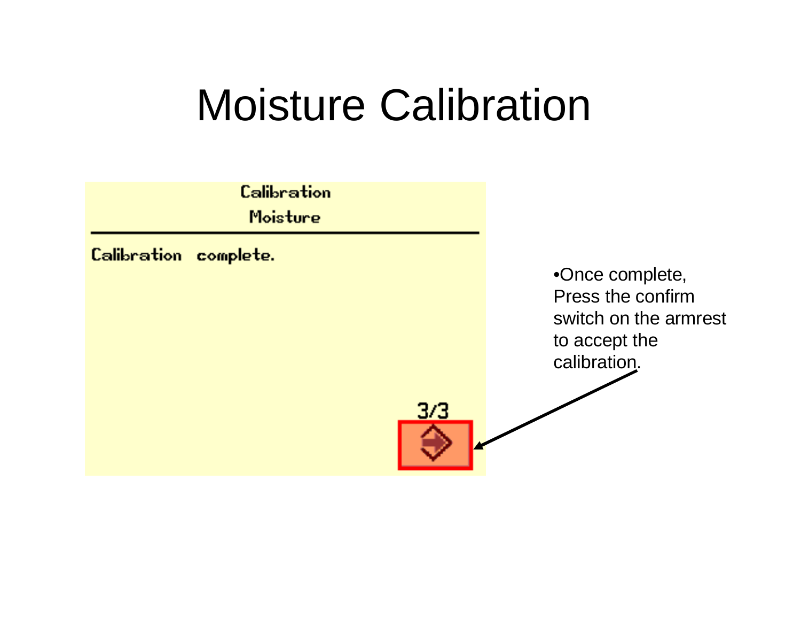